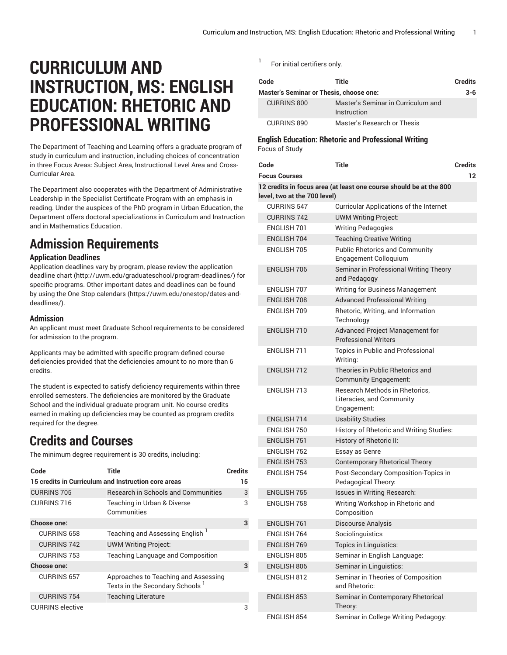# **CURRICULUM AND INSTRUCTION, MS: ENGLISH EDUCATION: RHETORIC AND PROFESSIONAL WRITING**

The Department of Teaching and Learning offers a graduate program of study in curriculum and instruction, including choices of concentration in three Focus Areas: Subject Area, Instructional Level Area and Cross-Curricular Area.

The Department also cooperates with the Department of Administrative Leadership in the Specialist Certificate Program with an emphasis in reading. Under the auspices of the PhD program in Urban Education, the Department offers doctoral specializations in Curriculum and Instruction and in Mathematics Education.

## **Admission Requirements**

### **Application Deadlines**

Application deadlines vary by program, please review the [application](http://uwm.edu/graduateschool/program-deadlines/) [deadline](http://uwm.edu/graduateschool/program-deadlines/) chart ([http://uwm.edu/graduateschool/program-deadlines/\)](http://uwm.edu/graduateschool/program-deadlines/) for specific programs. Other important dates and deadlines can be found by using the [One Stop calendars](https://uwm.edu/onestop/dates-and-deadlines/) ([https://uwm.edu/onestop/dates-and](https://uwm.edu/onestop/dates-and-deadlines/)[deadlines/\)](https://uwm.edu/onestop/dates-and-deadlines/).

### **Admission**

An applicant must meet Graduate School requirements to be considered for admission to the program.

Applicants may be admitted with specific program-defined course deficiencies provided that the deficiencies amount to no more than 6 credits.

The student is expected to satisfy deficiency requirements within three enrolled semesters. The deficiencies are monitored by the Graduate School and the individual graduate program unit. No course credits earned in making up deficiencies may be counted as program credits required for the degree.

### **Credits and Courses**

The minimum degree requirement is 30 credits, including:

| Code                    | Title                                                                               | <b>Credits</b> |
|-------------------------|-------------------------------------------------------------------------------------|----------------|
|                         | 15 credits in Curriculum and Instruction core areas                                 | 15             |
| <b>CURRINS 705</b>      | <b>Research in Schools and Communities</b>                                          | 3              |
| CURRINS 716             | Teaching in Urban & Diverse<br>Communities                                          | 3              |
| Choose one:             |                                                                                     | 3              |
| <b>CURRINS 658</b>      | Teaching and Assessing English <sup>1</sup>                                         |                |
| <b>CURRINS 742</b>      | <b>UWM Writing Project:</b>                                                         |                |
| <b>CURRINS 753</b>      | Teaching Language and Composition                                                   |                |
| Choose one:             |                                                                                     | 3              |
| <b>CURRINS 657</b>      | Approaches to Teaching and Assessing<br>Texts in the Secondary Schools <sup>1</sup> |                |
| <b>CURRINS 754</b>      | <b>Teaching Literature</b>                                                          |                |
| <b>CURRINS</b> elective |                                                                                     | 3              |

1 For initial certifiers only.

| Code                                    | Title                                             | <b>Credits</b> |
|-----------------------------------------|---------------------------------------------------|----------------|
| Master's Seminar or Thesis, choose one: |                                                   | $3-6$          |
| <b>CURRINS 800</b>                      | Master's Seminar in Curriculum and<br>Instruction |                |
| <b>CURRINS 890</b>                      | Master's Research or Thesis                       |                |

### **English Education: Rhetoric and Professional Writing** Focus of Study

| Code                         | <b>Title</b>                                                               | <b>Credits</b> |
|------------------------------|----------------------------------------------------------------------------|----------------|
| <b>Focus Courses</b>         |                                                                            | $12 \,$        |
| level, two at the 700 level) | 12 credits in focus area (at least one course should be at the 800         |                |
| <b>CURRINS 547</b>           | <b>Curricular Applications of the Internet</b>                             |                |
| <b>CURRINS 742</b>           | <b>UWM Writing Project:</b>                                                |                |
| ENGLISH 701                  | <b>Writing Pedagogies</b>                                                  |                |
| <b>ENGLISH 704</b>           | <b>Teaching Creative Writing</b>                                           |                |
| ENGLISH 705                  | <b>Public Rhetorics and Community</b><br>Engagement Colloquium             |                |
| <b>ENGLISH 706</b>           | Seminar in Professional Writing Theory<br>and Pedagogy                     |                |
| ENGLISH 707                  | Writing for Business Management                                            |                |
| <b>ENGLISH 708</b>           | <b>Advanced Professional Writing</b>                                       |                |
| ENGLISH 709                  | Rhetoric, Writing, and Information<br>Technology                           |                |
| <b>ENGLISH 710</b>           | Advanced Project Management for<br><b>Professional Writers</b>             |                |
| <b>FNGI ISH 711</b>          | Topics in Public and Professional<br>Writing:                              |                |
| <b>ENGLISH 712</b>           | Theories in Public Rhetorics and<br>Community Engagement:                  |                |
| <b>ENGLISH 713</b>           | Research Methods in Rhetorics.<br>Literacies, and Community<br>Engagement: |                |
| <b>ENGLISH 714</b>           | <b>Usability Studies</b>                                                   |                |
| ENGLISH 750                  | History of Rhetoric and Writing Studies:                                   |                |
| <b>ENGLISH 751</b>           | History of Rhetoric II:                                                    |                |
| <b>ENGLISH 752</b>           | Essay as Genre                                                             |                |
| <b>ENGLISH 753</b>           | <b>Contemporary Rhetorical Theory</b>                                      |                |
| <b>ENGLISH 754</b>           | Post-Secondary Composition-Topics in<br>Pedagogical Theory:                |                |
| <b>ENGLISH 755</b>           | Issues in Writing Research:                                                |                |
| <b>ENGLISH 758</b>           | Writing Workshop in Rhetoric and<br>Composition                            |                |
| <b>ENGLISH 761</b>           | Discourse Analysis                                                         |                |
| ENGLISH 764                  | Sociolinguistics                                                           |                |
| <b>ENGLISH 769</b>           | Topics in Linguistics:                                                     |                |
| ENGLISH 805                  | Seminar in English Language:                                               |                |
| <b>ENGLISH 806</b>           | Seminar in Linguistics:                                                    |                |
| ENGLISH 812                  | Seminar in Theories of Composition<br>and Rhetoric:                        |                |
| <b>ENGLISH 853</b>           | Seminar in Contemporary Rhetorical<br>Theory:                              |                |
| <b>ENGLISH 854</b>           | Seminar in College Writing Pedagogy:                                       |                |